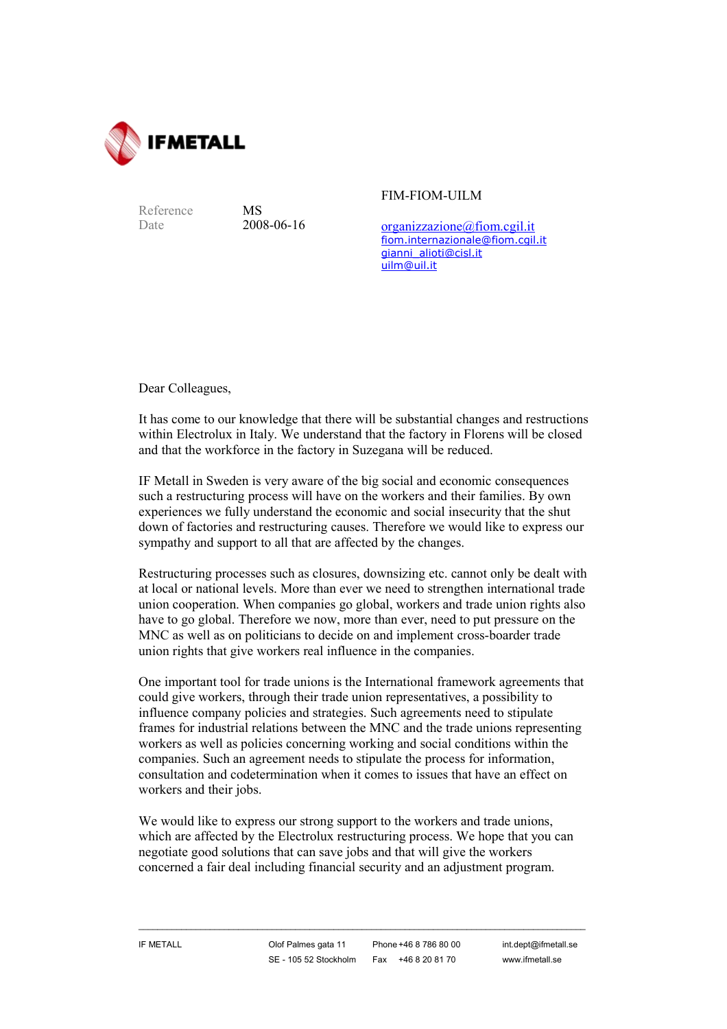

Reference MS

Date 2008-06-16

FIM-FIOM-UILM

[organizzazione@fiom.cgil.it](mailto:organizzazione@fiom.cgil.it) [fiom.internazionale@fiom.cgil.it](mailto:fiom.internazionale@fiom.cgil.it) [gianni\\_alioti@cisl.it](mailto:gianni_alioti@cisl.it) [uilm@uil.it](mailto:uilm@uil.it)

Dear Colleagues,

It has come to our knowledge that there will be substantial changes and restructions within Electrolux in Italy. We understand that the factory in Florens will be closed and that the workforce in the factory in Suzegana will be reduced.

IF Metall in Sweden is very aware of the big social and economic consequences such a restructuring process will have on the workers and their families. By own experiences we fully understand the economic and social insecurity that the shut down of factories and restructuring causes. Therefore we would like to express our sympathy and support to all that are affected by the changes.

Restructuring processes such as closures, downsizing etc. cannot only be dealt with at local or national levels. More than ever we need to strengthen international trade union cooperation. When companies go global, workers and trade union rights also have to go global. Therefore we now, more than ever, need to put pressure on the MNC as well as on politicians to decide on and implement cross-boarder trade union rights that give workers real influence in the companies.

One important tool for trade unions is the International framework agreements that could give workers, through their trade union representatives, a possibility to influence company policies and strategies. Such agreements need to stipulate frames for industrial relations between the MNC and the trade unions representing workers as well as policies concerning working and social conditions within the companies. Such an agreement needs to stipulate the process for information, consultation and codetermination when it comes to issues that have an effect on workers and their jobs.

We would like to express our strong support to the workers and trade unions, which are affected by the Electrolux restructuring process. We hope that you can negotiate good solutions that can save jobs and that will give the workers concerned a fair deal including financial security and an adjustment program.

 $\_$  ,  $\_$  ,  $\_$  ,  $\_$  ,  $\_$  ,  $\_$  ,  $\_$  ,  $\_$  ,  $\_$  ,  $\_$  ,  $\_$  ,  $\_$  ,  $\_$  ,  $\_$  ,  $\_$  ,  $\_$  ,  $\_$  ,  $\_$  ,  $\_$  ,  $\_$  ,  $\_$  ,  $\_$  ,  $\_$  ,  $\_$  ,  $\_$  ,  $\_$  ,  $\_$  ,  $\_$  ,  $\_$  ,  $\_$  ,  $\_$  ,  $\_$  ,  $\_$  ,  $\_$  ,  $\_$  ,  $\_$  ,  $\_$  ,